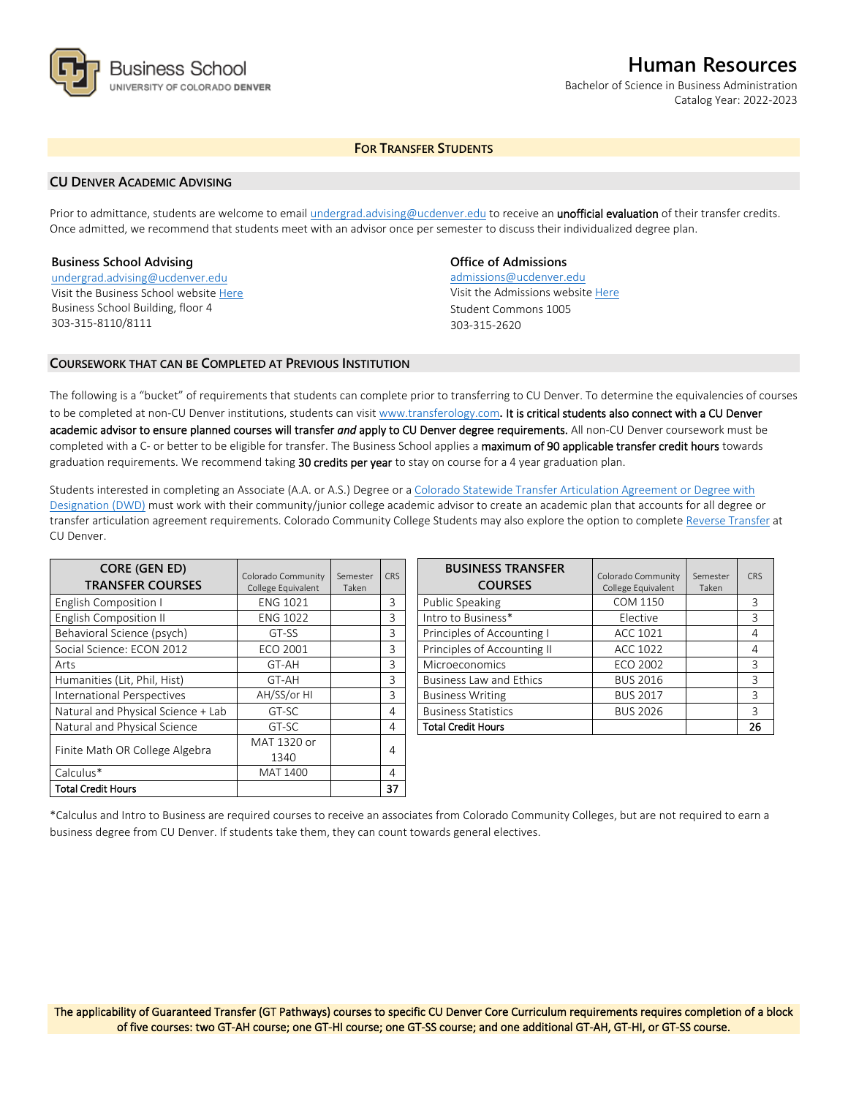

# **Human Resources**

Bachelor of Science in Business Administration Catalog Year: 2022-2023

# **FOR TRANSFER STUDENTS**

## **CU DENVER ACADEMIC ADVISING**

Prior to admittance, students are welcome to email [undergrad.advising@ucdenver.edu](mailto:undergrad.advising@ucdenver.edu) to receive an *unofficial evaluation* of their transfer credits. Once admitted, we recommend that students meet with an advisor once per semester to discuss their individualized degree plan.

### **Business School Advising**

[undergrad.advising@ucdenver.edu](mailto:undergrad.advising@ucdenver.edu) Visit the Business School websit[e Here](http://www.ucdenver.edu/academics/colleges/business/Pages/business-school.aspx)  Business School Building, floor 4 303-315-8110/8111

# **Office of Admissions**

admissions@ucdenver.edu Visit the Admissions website [Here](http://www.ucdenver.edu/admissions/) Student Commons 1005 303-315-2620

## **COURSEWORK THAT CAN BE COMPLETED AT PREVIOUS INSTITUTION**

The following is a "bucket" of requirements that students can complete prior to transferring to CU Denver. To determine the equivalencies of courses to be completed at non-CU Denver institutions, students can visit [www.transferology.com](http://www.transferology.com/)**.** It is critical students also connect with a CU Denver academic advisor to ensure planned courses will transfer *and* apply to CU Denver degree requirements. All non-CU Denver coursework must be completed with a C- or better to be eligible for transfer. The Business School applies a maximum of 90 applicable transfer credit hours towards graduation requirements. We recommend taking 30 credits per year to stay on course for a 4 year graduation plan.

Students interested in completing an Associate (A.A. or A.S.) Degree or a [Colorado Statewide Transfer Articulation Agreement or Degree with](https://highered.colorado.gov/Academics/Transfers/TransferDegrees.html)  [Designation \(DWD\)](https://highered.colorado.gov/Academics/Transfers/TransferDegrees.html) must work with their community/junior college academic advisor to create an academic plan that accounts for all degree or transfer articulation agreement requirements. Colorado Community College Students may also explore the option to complet[e Reverse Transfer](https://degreewithinreach.wordpress.com/) at CU Denver.

| <b>CORE (GEN ED)</b><br><b>TRANSFER COURSES</b> | Colorado Community<br>College Equivalent | Semester<br>Taken | <b>CRS</b> |
|-------------------------------------------------|------------------------------------------|-------------------|------------|
| English Composition I                           | <b>ENG 1021</b>                          |                   | 3          |
| <b>English Composition II</b>                   | <b>ENG 1022</b>                          |                   | 3          |
| Behavioral Science (psych)                      | GT-SS                                    |                   | 3          |
| Social Science: ECON 2012                       | ECO 2001                                 |                   | 3          |
| Arts                                            | GT-AH                                    |                   | 3          |
| Humanities (Lit, Phil, Hist)                    | GT-AH                                    |                   | 3          |
| International Perspectives                      | AH/SS/or HI                              |                   | 3          |
| Natural and Physical Science + Lab              | GT-SC                                    |                   | 4          |
| Natural and Physical Science                    | GT-SC                                    |                   | 4          |
| Finite Math OR College Algebra                  | MAT 1320 or                              |                   |            |
|                                                 | 1340                                     |                   | 4          |
| Calculus*                                       | MAT 1400                                 |                   | 4          |
| <b>Total Credit Hours</b>                       |                                          |                   | 37         |

| <b>BUSINESS TRANSFER</b><br><b>COURSES</b> | Colorado Community<br>College Equivalent | Semester<br>Taken | CRS |
|--------------------------------------------|------------------------------------------|-------------------|-----|
| Public Speaking                            | COM 1150                                 |                   | 3   |
| Intro to Business*                         | Elective                                 |                   | 3   |
| Principles of Accounting I                 | ACC 1021                                 |                   | 4   |
| Principles of Accounting II                | <b>ACC 1022</b>                          |                   | 4   |
| Microeconomics                             | <b>ECO 2002</b>                          |                   | 3   |
| <b>Business Law and Ethics</b>             | <b>BUS 2016</b>                          |                   | 3   |
| <b>Business Writing</b>                    | <b>BUS 2017</b>                          |                   | 3   |
| <b>Business Statistics</b>                 | <b>BUS 2026</b>                          |                   | 3   |
| <b>Total Credit Hours</b>                  |                                          |                   | 26  |

\*Calculus and Intro to Business are required courses to receive an associates from Colorado Community Colleges, but are not required to earn a business degree from CU Denver. If students take them, they can count towards general electives.